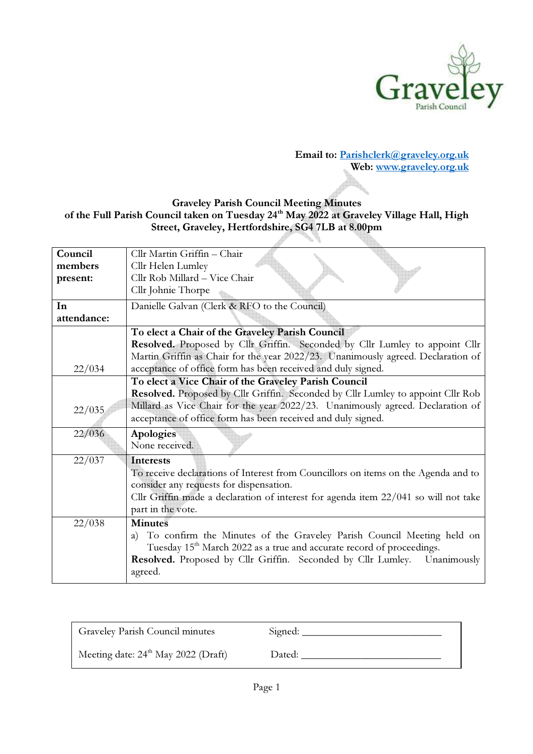

## Email to: Parishclerk@graveley.org.uk Web: www.graveley.org.uk

## Graveley Parish Council Meeting Minutes of the Full Parish Council taken on Tuesday 24<sup>th</sup> May 2022 at Graveley Village Hall, High Street, Graveley, Hertfordshire, SG4 7LB at 8.00pm

| Council     | Cllr Martin Griffin - Chair                                                         |
|-------------|-------------------------------------------------------------------------------------|
| members     | Cllr Helen Lumley                                                                   |
| present:    | Cllr Rob Millard - Vice Chair                                                       |
|             | Cllr Johnie Thorpe                                                                  |
| In          | Danielle Galvan (Clerk & RFO to the Council)                                        |
| attendance: |                                                                                     |
|             | To elect a Chair of the Graveley Parish Council                                     |
|             | Resolved. Proposed by Cllr Griffin. Seconded by Cllr Lumley to appoint Cllr         |
|             | Martin Griffin as Chair for the year 2022/23. Unanimously agreed. Declaration of    |
| 22/034      | acceptance of office form has been received and duly signed.                        |
|             | To elect a Vice Chair of the Graveley Parish Council                                |
|             | Resolved. Proposed by Cllr Griffin. Seconded by Cllr Lumley to appoint Cllr Rob     |
| 22/035      | Millard as Vice Chair for the year 2022/23. Unanimously agreed. Declaration of      |
|             | acceptance of office form has been received and duly signed.                        |
| 22/036      | <b>Apologies</b>                                                                    |
|             | None received.                                                                      |
| 22/037      | <b>Interests</b>                                                                    |
|             | To receive declarations of Interest from Councillors on items on the Agenda and to  |
|             | consider any requests for dispensation.                                             |
|             | Cllr Griffin made a declaration of interest for agenda item 22/041 so will not take |
|             | part in the vote.                                                                   |
| 22/038      | <b>Minutes</b>                                                                      |
|             | To confirm the Minutes of the Graveley Parish Council Meeting held on<br>a)         |
|             | Tuesday 15 <sup>th</sup> March 2022 as a true and accurate record of proceedings.   |
|             | Resolved. Proposed by Cllr Griffin. Seconded by Cllr Lumley. Unanimously            |
|             | agreed.                                                                             |
|             |                                                                                     |

| Graveley Parish Council minutes                 | Signed: |
|-------------------------------------------------|---------|
| Meeting date: $24^{\text{th}}$ May 2022 (Draft) | Dated:  |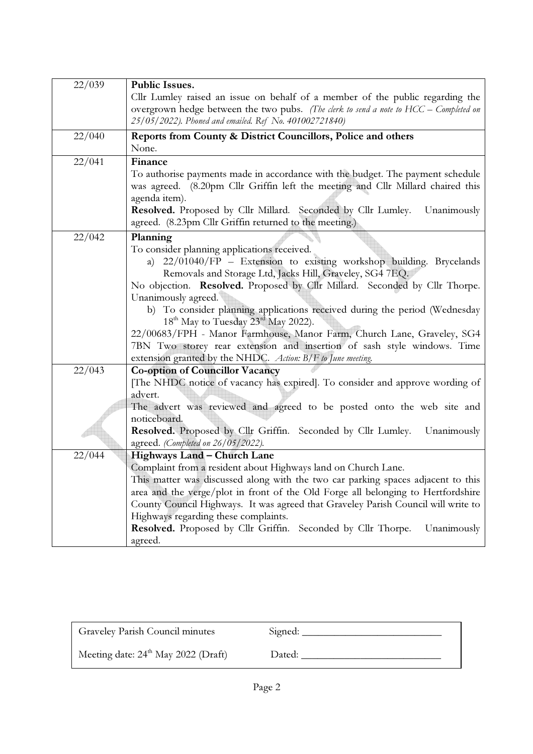| 22/039 | <b>Public Issues.</b>                                                                                                                             |  |
|--------|---------------------------------------------------------------------------------------------------------------------------------------------------|--|
|        | Cllr Lumley raised an issue on behalf of a member of the public regarding the                                                                     |  |
|        | overgrown hedge between the two pubs. (The clerk to send a note to HCC – Completed on                                                             |  |
|        | 25/05/2022). Phoned and emailed. Ref No. 401002721840)                                                                                            |  |
| 22/040 | Reports from County & District Councillors, Police and others                                                                                     |  |
|        | None.                                                                                                                                             |  |
| 22/041 | Finance                                                                                                                                           |  |
|        | To authorise payments made in accordance with the budget. The payment schedule                                                                    |  |
|        | was agreed. (8.20pm Cllr Griffin left the meeting and Cllr Millard chaired this                                                                   |  |
|        | agenda item).                                                                                                                                     |  |
|        | Resolved. Proposed by Cllr Millard. Seconded by Cllr Lumley.<br>Unanimously                                                                       |  |
|        | agreed. (8.23pm Cllr Griffin returned to the meeting.)                                                                                            |  |
| 22/042 | Planning                                                                                                                                          |  |
|        | To consider planning applications received.                                                                                                       |  |
|        | 22/01040/FP - Extension to existing workshop building. Brycelands<br>a)                                                                           |  |
|        | Removals and Storage Ltd, Jacks Hill, Graveley, SG4 7EQ.                                                                                          |  |
|        | No objection. Resolved. Proposed by Cllr Millard. Seconded by Cllr Thorpe.<br>Unanimously agreed.                                                 |  |
|        | b) To consider planning applications received during the period (Wednesday                                                                        |  |
|        | 18 <sup>th</sup> May to Tuesday 23 <sup>rd</sup> May 2022).                                                                                       |  |
|        | 22/00683/FPH - Manor Farmhouse, Manor Farm, Church Lane, Graveley, SG4                                                                            |  |
|        | 7BN Two storey rear extension and insertion of sash style windows. Time                                                                           |  |
|        | extension granted by the NHDC. Action: B/F to June meeting.                                                                                       |  |
| 22/043 | <b>Co-option of Councillor Vacancy</b>                                                                                                            |  |
|        | [The NHDC notice of vacancy has expired]. To consider and approve wording of                                                                      |  |
|        | advert.                                                                                                                                           |  |
|        | The advert was reviewed and agreed to be posted onto the web site and                                                                             |  |
|        | noticeboard.                                                                                                                                      |  |
|        | Resolved. Proposed by Cllr Griffin. Seconded by Cllr Lumley.<br>Unanimously                                                                       |  |
|        | agreed. (Completed on 26/05/2022).                                                                                                                |  |
| 22/044 | Highways Land - Church Lane                                                                                                                       |  |
|        | Complaint from a resident about Highways land on Church Lane.<br>This matter was discussed along with the two car parking spaces adjacent to this |  |
|        | area and the verge/plot in front of the Old Forge all belonging to Hertfordshire                                                                  |  |
|        | County Council Highways. It was agreed that Graveley Parish Council will write to                                                                 |  |
|        | Highways regarding these complaints.                                                                                                              |  |
|        | Resolved. Proposed by Cllr Griffin. Seconded by Cllr Thorpe.<br>Unanimously                                                                       |  |
|        | agreed.                                                                                                                                           |  |

| Graveley Parish Council minutes       | Signed: |
|---------------------------------------|---------|
| Meeting date: $24th$ May 2022 (Draft) | Dated:  |